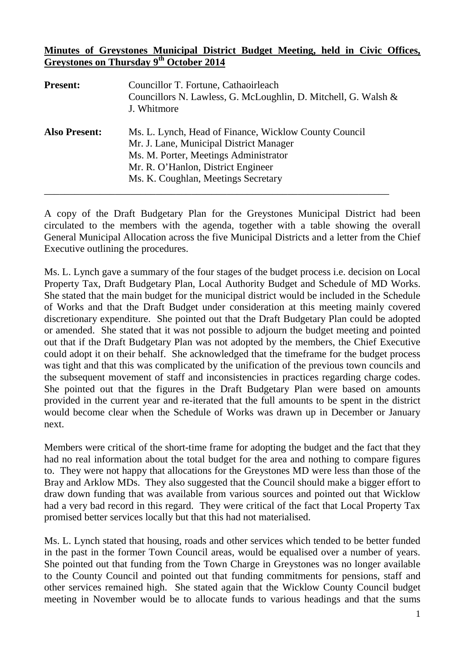## **Minutes of Greystones Municipal District Budget Meeting, held in Civic Offices, Greystones on Thursday 9th October 2014**

| <b>Present:</b>      | Councillor T. Fortune, Cathaoirleach<br>Councillors N. Lawless, G. McLoughlin, D. Mitchell, G. Walsh &<br>J. Whitmore                                                                                                  |
|----------------------|------------------------------------------------------------------------------------------------------------------------------------------------------------------------------------------------------------------------|
| <b>Also Present:</b> | Ms. L. Lynch, Head of Finance, Wicklow County Council<br>Mr. J. Lane, Municipal District Manager<br>Ms. M. Porter, Meetings Administrator<br>Mr. R. O'Hanlon, District Engineer<br>Ms. K. Coughlan, Meetings Secretary |

A copy of the Draft Budgetary Plan for the Greystones Municipal District had been circulated to the members with the agenda, together with a table showing the overall General Municipal Allocation across the five Municipal Districts and a letter from the Chief Executive outlining the procedures.

Ms. L. Lynch gave a summary of the four stages of the budget process i.e. decision on Local Property Tax, Draft Budgetary Plan, Local Authority Budget and Schedule of MD Works. She stated that the main budget for the municipal district would be included in the Schedule of Works and that the Draft Budget under consideration at this meeting mainly covered discretionary expenditure. She pointed out that the Draft Budgetary Plan could be adopted or amended. She stated that it was not possible to adjourn the budget meeting and pointed out that if the Draft Budgetary Plan was not adopted by the members, the Chief Executive could adopt it on their behalf. She acknowledged that the timeframe for the budget process was tight and that this was complicated by the unification of the previous town councils and the subsequent movement of staff and inconsistencies in practices regarding charge codes. She pointed out that the figures in the Draft Budgetary Plan were based on amounts provided in the current year and re-iterated that the full amounts to be spent in the district would become clear when the Schedule of Works was drawn up in December or January next.

Members were critical of the short-time frame for adopting the budget and the fact that they had no real information about the total budget for the area and nothing to compare figures to. They were not happy that allocations for the Greystones MD were less than those of the Bray and Arklow MDs. They also suggested that the Council should make a bigger effort to draw down funding that was available from various sources and pointed out that Wicklow had a very bad record in this regard. They were critical of the fact that Local Property Tax promised better services locally but that this had not materialised.

Ms. L. Lynch stated that housing, roads and other services which tended to be better funded in the past in the former Town Council areas, would be equalised over a number of years. She pointed out that funding from the Town Charge in Greystones was no longer available to the County Council and pointed out that funding commitments for pensions, staff and other services remained high. She stated again that the Wicklow County Council budget meeting in November would be to allocate funds to various headings and that the sums